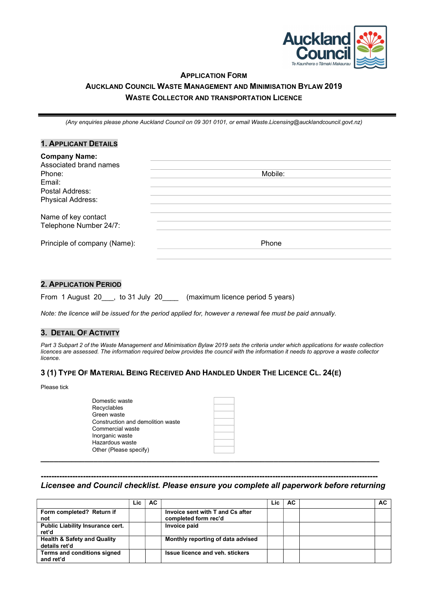

# APPLICATION FORM AUCKLAND COUNCIL WASTE MANAGEMENT AND MINIMISATION BYLAW 2019 WASTE COLLECTOR AND TRANSPORTATION LICENCE

(Any enquiries please phone Auckland Council on 09 301 0101, or email Waste.Licensing@aucklandcouncil.govt.nz)

#### 1. APPLICANT DETAILS

| <b>Company Name:</b>         |         |
|------------------------------|---------|
| Associated brand names       |         |
| Phone:                       | Mobile: |
| Email:                       |         |
| Postal Address:              |         |
| <b>Physical Address:</b>     |         |
| Name of key contact          |         |
| Telephone Number 24/7:       |         |
| Principle of company (Name): | Phone   |
|                              |         |

### 2. APPLICATION PERIOD

|  | From 1 August 20 | to 31 July 20 |  | (maximum licence period 5 years) |  |  |
|--|------------------|---------------|--|----------------------------------|--|--|
|--|------------------|---------------|--|----------------------------------|--|--|

Note: the licence will be issued for the period applied for, however a renewal fee must be paid annually.

#### 3. DETAIL OF ACTIVITY

Part 3 Subpart 2 of the Waste Management and Minimisation Bylaw 2019 sets the criteria under which applications for waste collection licences are assessed. The information required below provides the council with the information it needs to approve a waste collector licence.

#### 3 (1) TYPE OF MATERIAL BEING RECEIVED AND HANDLED UNDER THE LICENCE CL. 24(E)

Please tick

| Domestic waste                    |
|-----------------------------------|
| Recyclables                       |
| Green waste                       |
| Construction and demolition waste |
| Commercial waste                  |
| Inorganic waste                   |
| Hazardous waste                   |
| Other (Please specify)            |

| Domestic waste                    |  |
|-----------------------------------|--|
| Recyclables                       |  |
| Green waste                       |  |
| Construction and demolition waste |  |
| Commercial waste                  |  |
| Inorganic waste                   |  |
| Hazardous waste                   |  |
| Other (Please specify)            |  |
|                                   |  |

#### -------------------------------------------------------------------------------------------------------------------------------- Licensee and Council checklist. Please ensure you complete all paperwork before returning

|                                                         | Lic | <b>AC</b> |                                                          | Lic. | AC. | AC. |
|---------------------------------------------------------|-----|-----------|----------------------------------------------------------|------|-----|-----|
| Form completed? Return if<br>not                        |     |           | Invoice sent with T and Cs after<br>completed form rec'd |      |     |     |
| <b>Public Liability Insurance cert.</b><br>ret'd        |     |           | Invoice paid                                             |      |     |     |
| <b>Health &amp; Safety and Quality</b><br>details ret'd |     |           | Monthly reporting of data advised                        |      |     |     |
| Terms and conditions signed<br>and ret'd                |     |           | Issue licence and veh. stickers                          |      |     |     |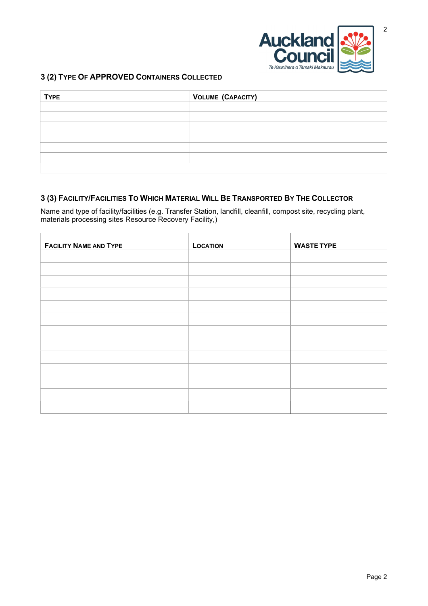

# 3 (2) TYPE OF APPROVED CONTAINERS COLLECTED

| <b>TYPE</b> | <b>VOLUME (CAPACITY)</b> |
|-------------|--------------------------|
|             |                          |
|             |                          |
|             |                          |
|             |                          |
|             |                          |
|             |                          |
|             |                          |

# 3 (3) FACILITY/FACILITIES TO WHICH MATERIAL WILL BE TRANSPORTED BY THE COLLECTOR

Name and type of facility/facilities (e.g. Transfer Station, landfill, cleanfill, compost site, recycling plant, materials processing sites Resource Recovery Facility,)

| <b>FACILITY NAME AND TYPE</b> | <b>LOCATION</b> | <b>WASTE TYPE</b> |
|-------------------------------|-----------------|-------------------|
|                               |                 |                   |
|                               |                 |                   |
|                               |                 |                   |
|                               |                 |                   |
|                               |                 |                   |
|                               |                 |                   |
|                               |                 |                   |
|                               |                 |                   |
|                               |                 |                   |
|                               |                 |                   |
|                               |                 |                   |
|                               |                 |                   |
|                               |                 |                   |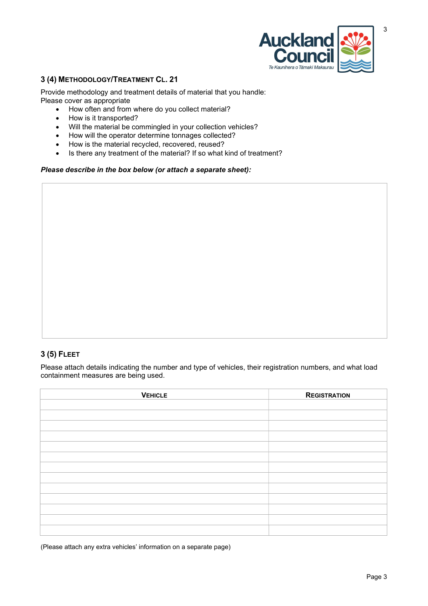

3

Provide methodology and treatment details of material that you handle: Please cover as appropriate

- How often and from where do you collect material?
- How is it transported?
- Will the material be commingled in your collection vehicles?
- How will the operator determine tonnages collected?
- How is the material recycled, recovered, reused?
- Is there any treatment of the material? If so what kind of treatment?

Please describe in the box below (or attach a separate sheet):

### 3 (5) FLEET

Please attach details indicating the number and type of vehicles, their registration numbers, and what load containment measures are being used.

| <b>VEHICLE</b> | <b>REGISTRATION</b> |
|----------------|---------------------|
|                |                     |
|                |                     |
|                |                     |
|                |                     |
|                |                     |
|                |                     |
|                |                     |
|                |                     |
|                |                     |
|                |                     |
|                |                     |
|                |                     |
|                |                     |

en de la provincia de la provincia de la provincia de la provincia de la provincia de la provincia de la provi

(Please attach any extra vehicles' information on a separate page)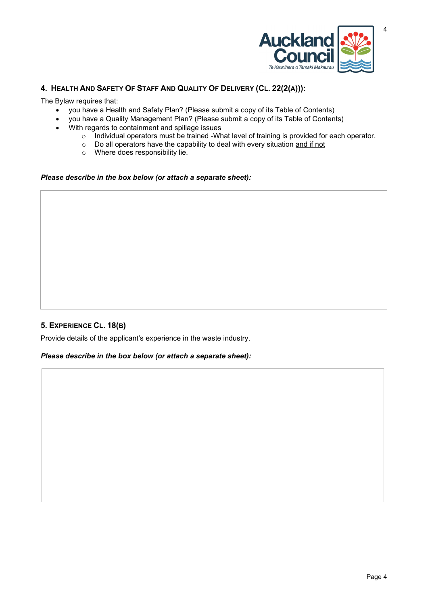

# 4. HEALTH AND SAFETY OF STAFF AND QUALITY OF DELIVERY (CL. 22(2(A))):

The Bylaw requires that:

- you have a Health and Safety Plan? (Please submit a copy of its Table of Contents)
- you have a Quality Management Plan? (Please submit a copy of its Table of Contents)
- With regards to containment and spillage issues
	- o Individual operators must be trained -What level of training is provided for each operator.
	- o Do all operators have the capability to deal with every situation and if not
		- o Where does responsibility lie.

#### Please describe in the box below (or attach a separate sheet):

# 5. EXPERIENCE CL. 18(B)

Provide details of the applicant's experience in the waste industry.

### Please describe in the box below (or attach a separate sheet):